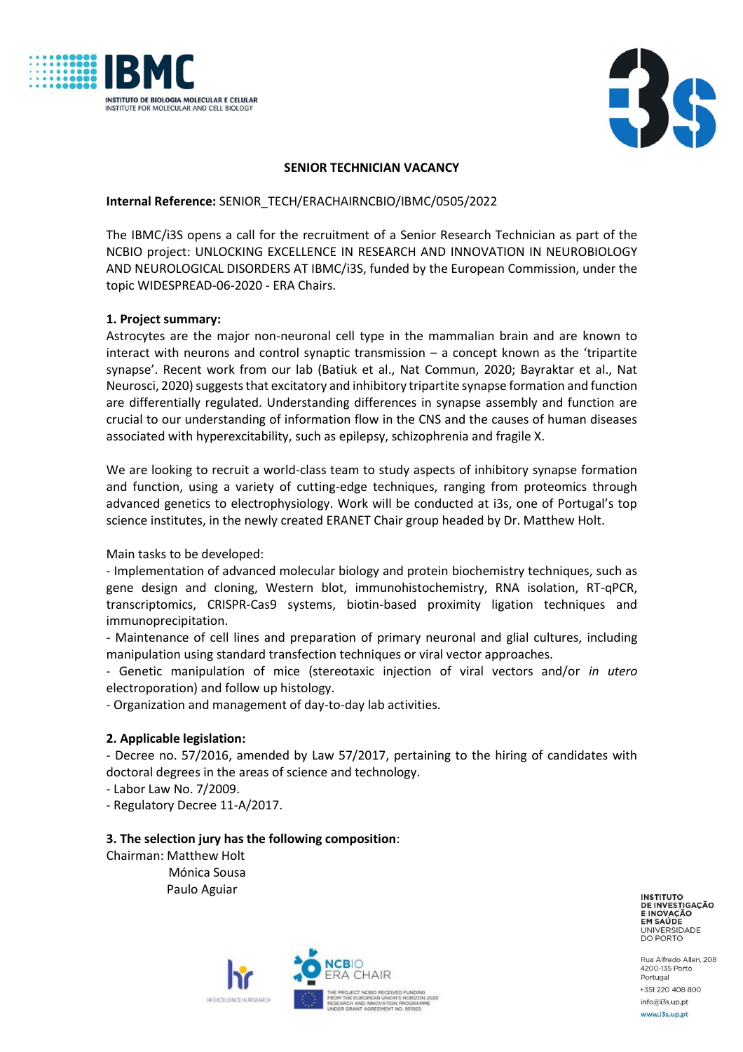



### **SENIOR TECHNICIAN VACANCY**

### **Internal Reference:** SENIOR\_TECH/ERACHAIRNCBIO/IBMC/0505/2022

The IBMC/i3S opens a call for the recruitment of a Senior Research Technician as part of the NCBIO project: UNLOCKING EXCELLENCE IN RESEARCH AND INNOVATION IN NEUROBIOLOGY AND NEUROLOGICAL DISORDERS AT IBMC/i3S, funded by the European Commission, under the topic WIDESPREAD-06-2020 - ERA Chairs.

# **1. Project summary:**

Astrocytes are the major non-neuronal cell type in the mammalian brain and are known to interact with neurons and control synaptic transmission – a concept known as the 'tripartite synapse'. Recent work from our lab (Batiuk et al., Nat Commun, 2020; Bayraktar et al., Nat Neurosci, 2020) suggests that excitatory and inhibitory tripartite synapse formation and function are differentially regulated. Understanding differences in synapse assembly and function are crucial to our understanding of information flow in the CNS and the causes of human diseases associated with hyperexcitability, such as epilepsy, schizophrenia and fragile X.

We are looking to recruit a world-class team to study aspects of inhibitory synapse formation and function, using a variety of cutting-edge techniques, ranging from proteomics through advanced genetics to electrophysiology. Work will be conducted at i3s, one of Portugal's top science institutes, in the newly created ERANET Chair group headed by Dr. Matthew Holt.

Main tasks to be developed:

- Implementation of advanced molecular biology and protein biochemistry techniques, such as gene design and cloning, Western blot, immunohistochemistry, RNA isolation, RT-qPCR, transcriptomics, CRISPR-Cas9 systems, biotin-based proximity ligation techniques and immunoprecipitation.

- Maintenance of cell lines and preparation of primary neuronal and glial cultures, including manipulation using standard transfection techniques or viral vector approaches.

- Genetic manipulation of mice (stereotaxic injection of viral vectors and/or *in utero* electroporation) and follow up histology.

- Organization and management of day-to-day lab activities.

# **2. Applicable legislation:**

- Decree no. 57/2016, amended by Law 57/2017, pertaining to the hiring of candidates with doctoral degrees in the areas of science and technology.

- Labor Law No. 7/2009.

- Regulatory Decree 11-A/2017.

#### **3. The selection jury has the following composition**:

Chairman: Matthew Holt Mónica Sousa Paulo Aguiar



**INSTITUTO** DE INVESTIGAÇÃO EM SAÚDE UNIVERSIDADE<br>DO PORTO

Rua Alfredo Allen, 208 4200-135 Porto Portugal +351 220 408 800 info@i3s.up.pt www.i3s.up.pt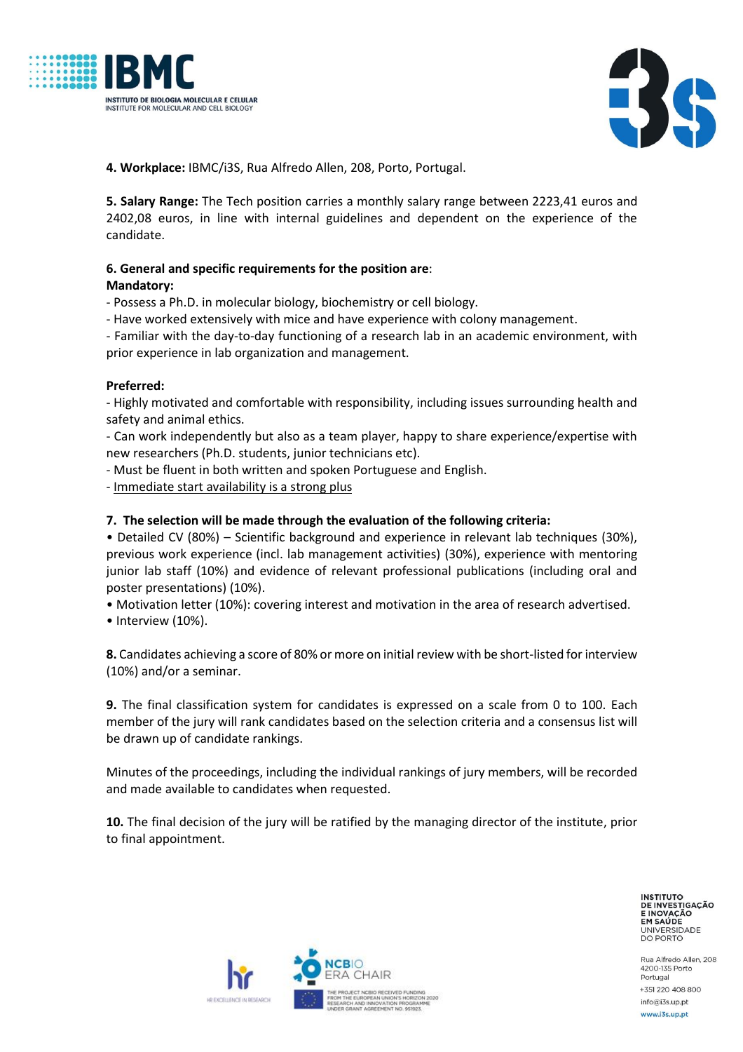



**4. Workplace:** IBMC/i3S, Rua Alfredo Allen, 208, Porto, Portugal.

**5. Salary Range:** The Tech position carries a monthly salary range between 2223,41 euros and 2402,08 euros, in line with internal guidelines and dependent on the experience of the candidate.

### **6. General and specific requirements for the position are**: **Mandatory:**

- Possess a Ph.D. in molecular biology, biochemistry or cell biology.

- Have worked extensively with mice and have experience with colony management.

- Familiar with the day-to-day functioning of a research lab in an academic environment, with prior experience in lab organization and management.

### **Preferred:**

- Highly motivated and comfortable with responsibility, including issues surrounding health and safety and animal ethics.

- Can work independently but also as a team player, happy to share experience/expertise with new researchers (Ph.D. students, junior technicians etc).

- Must be fluent in both written and spoken Portuguese and English.

- Immediate start availability is a strong plus

### **7. The selection will be made through the evaluation of the following criteria:**

• Detailed CV (80%) – Scientific background and experience in relevant lab techniques (30%), previous work experience (incl. lab management activities) (30%), experience with mentoring junior lab staff (10%) and evidence of relevant professional publications (including oral and poster presentations) (10%).

• Motivation letter (10%): covering interest and motivation in the area of research advertised.

• Interview (10%).

**8.** Candidates achieving a score of 80% or more on initial review with be short-listed for interview (10%) and/or a seminar.

**9.** The final classification system for candidates is expressed on a scale from 0 to 100. Each member of the jury will rank candidates based on the selection criteria and a consensus list will be drawn up of candidate rankings.

Minutes of the proceedings, including the individual rankings of jury members, will be recorded and made available to candidates when requested.

**10.** The final decision of the jury will be ratified by the managing director of the institute, prior to final appointment.

> **INSTITUTO** DE INVESTIGAÇÃO EM SAÚDE UNIVERSIDADE<br>DO PORTO

Rua Alfredo Allen, 208 4200-135 Porto Portugal +351 220 408 800 info@i3s.up.pt www.i3s.up.pt